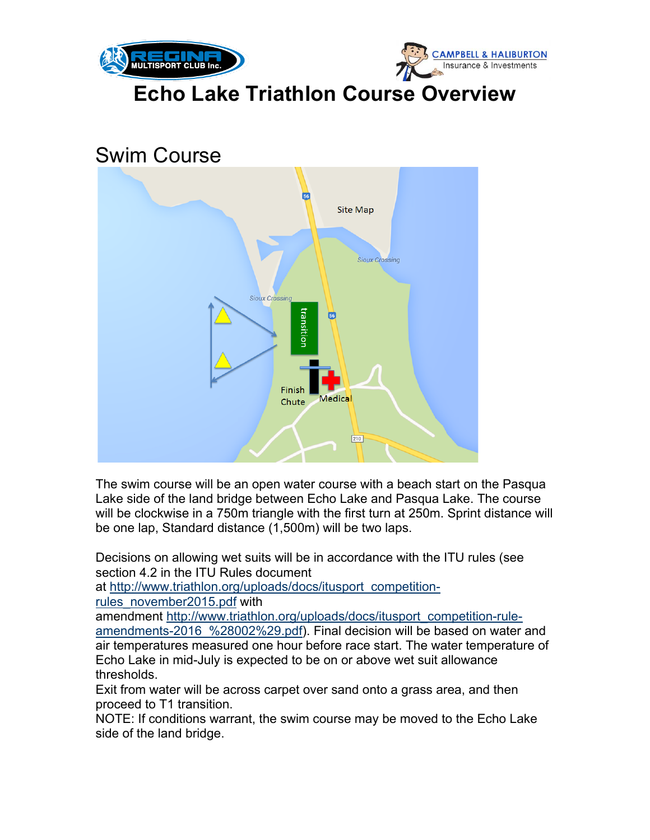



The swim course will be an open water course with a beach start on the Pasqua Lake side of the land bridge between Echo Lake and Pasqua Lake. The course will be clockwise in a 750m triangle with the first turn at 250m. Sprint distance will be one lap, Standard distance (1,500m) will be two laps.

Decisions on allowing wet suits will be in accordance with the ITU rules (see section 4.2 in the ITU Rules document

at http://www.triathlon.org/uploads/docs/itusport\_competition-

rules\_november2015.pdf with

amendment http://www.triathlon.org/uploads/docs/itusport\_competition-ruleamendments-2016\_%28002%29.pdf). Final decision will be based on water and air temperatures measured one hour before race start. The water temperature of Echo Lake in mid-July is expected to be on or above wet suit allowance thresholds.

Exit from water will be across carpet over sand onto a grass area, and then proceed to T1 transition.

NOTE: If conditions warrant, the swim course may be moved to the Echo Lake side of the land bridge.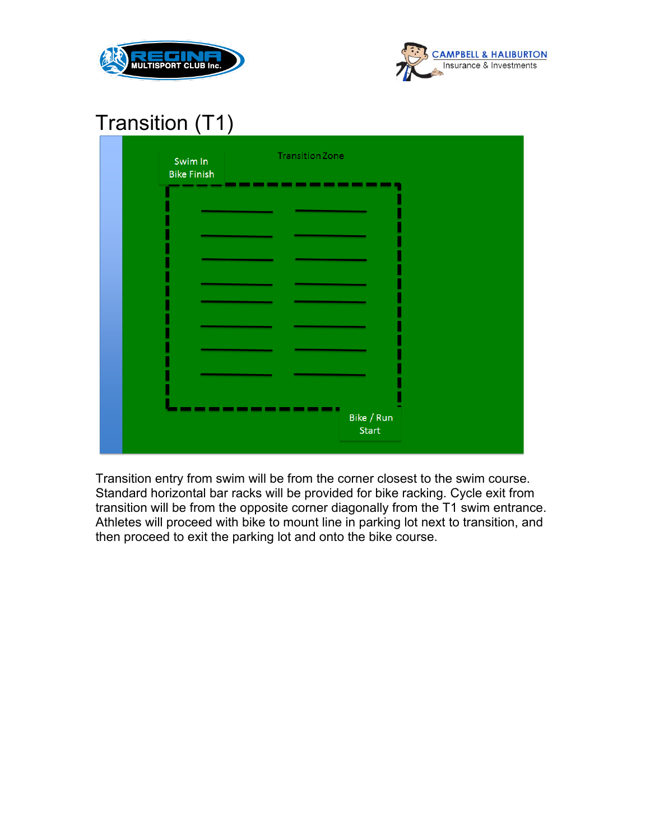



## Transition (T1)

| Swim In<br><b>Bike Finish</b> | <b>Transition Zone</b> |
|-------------------------------|------------------------|
|                               |                        |
|                               |                        |
|                               |                        |
|                               |                        |
|                               | Bike / Run<br>Start    |

Transition entry from swim will be from the corner closest to the swim course. Standard horizontal bar racks will be provided for bike racking. Cycle exit from transition will be from the opposite corner diagonally from the T1 swim entrance. Athletes will proceed with bike to mount line in parking lot next to transition, and then proceed to exit the parking lot and onto the bike course.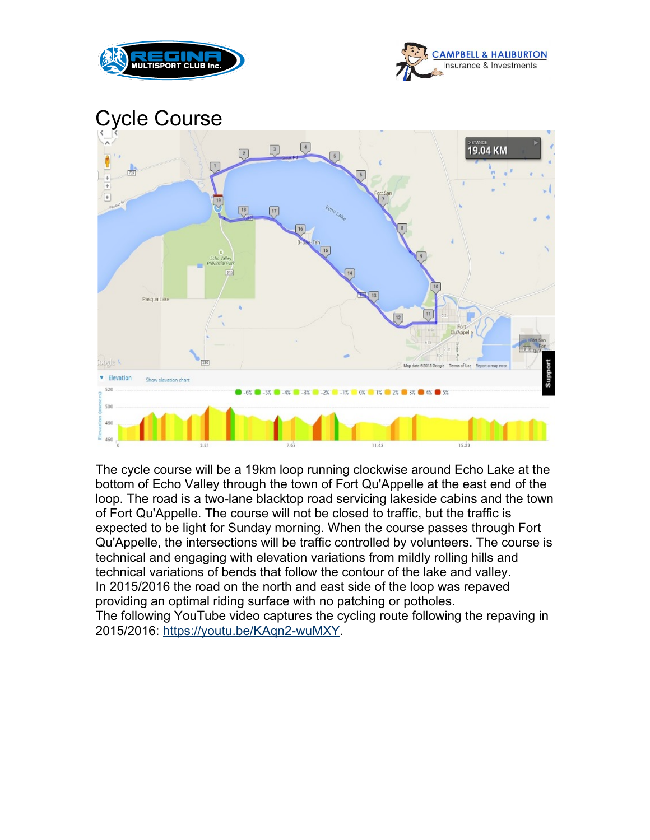





The cycle course will be a 19km loop running clockwise around Echo Lake at the bottom of Echo Valley through the town of Fort Qu'Appelle at the east end of the loop. The road is a two-lane blacktop road servicing lakeside cabins and the town of Fort Qu'Appelle. The course will not be closed to traffic, but the traffic is expected to be light for Sunday morning. When the course passes through Fort Qu'Appelle, the intersections will be traffic controlled by volunteers. The course is technical and engaging with elevation variations from mildly rolling hills and technical variations of bends that follow the contour of the lake and valley. In 2015/2016 the road on the north and east side of the loop was repaved providing an optimal riding surface with no patching or potholes.

The following YouTube video captures the cycling route following the repaving in 2015/2016: https://youtu.be/KAqn2-wuMXY.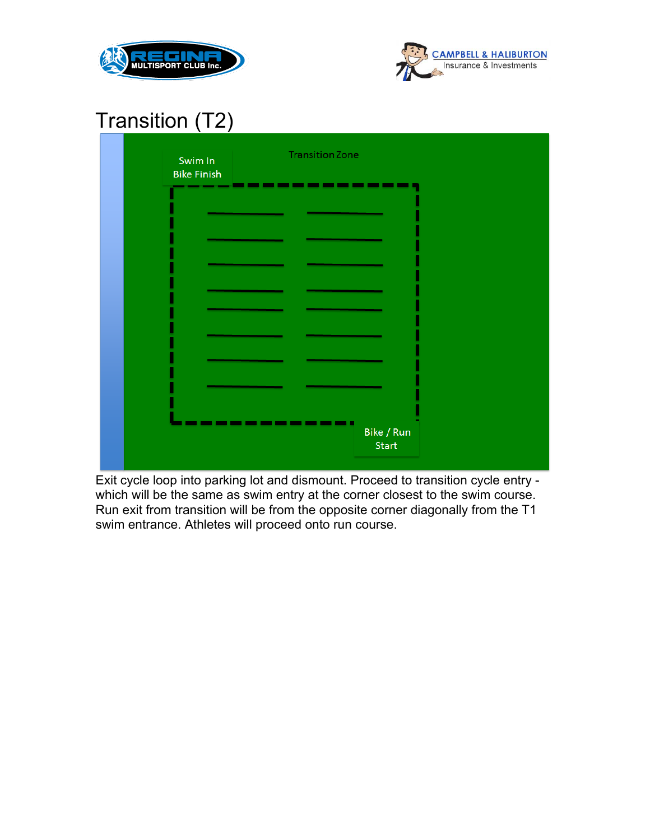



## Transition (T2)

| Swim In<br><b>Bike Finish</b> | <b>Transition Zone</b>     |
|-------------------------------|----------------------------|
|                               |                            |
|                               |                            |
|                               |                            |
|                               |                            |
|                               |                            |
|                               |                            |
|                               | . .<br>Bike / Run<br>Start |

Exit cycle loop into parking lot and dismount. Proceed to transition cycle entry which will be the same as swim entry at the corner closest to the swim course. Run exit from transition will be from the opposite corner diagonally from the T1 swim entrance. Athletes will proceed onto run course.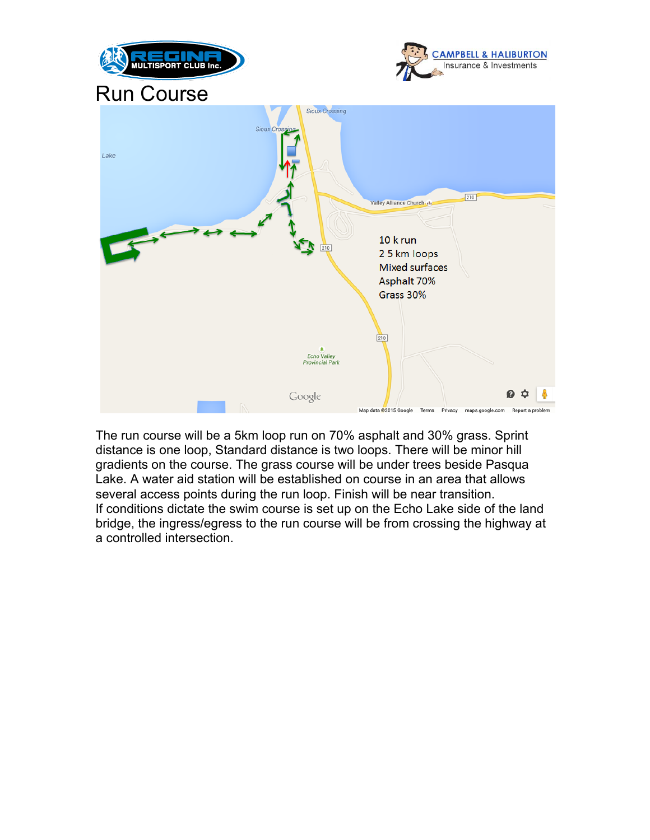

The run course will be a 5km loop run on 70% asphalt and 30% grass. Sprint distance is one loop, Standard distance is two loops. There will be minor hill gradients on the course. The grass course will be under trees beside Pasqua Lake. A water aid station will be established on course in an area that allows several access points during the run loop. Finish will be near transition. If conditions dictate the swim course is set up on the Echo Lake side of the land bridge, the ingress/egress to the run course will be from crossing the highway at a controlled intersection.